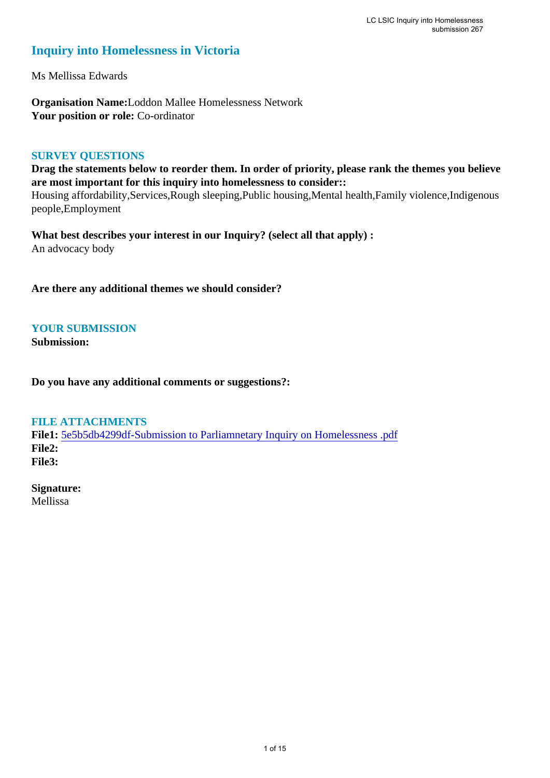# **Inquiry into Homelessness in Victoria**

Ms Mellissa Edwards

**Organisation Name:**Loddon Mallee Homelessness Network **Your position or role:** Co-ordinator

#### **SURVEY QUESTIONS**

**Drag the statements below to reorder them. In order of priority, please rank the themes you believe are most important for this inquiry into homelessness to consider::** 

Housing affordability,Services,Rough sleeping,Public housing,Mental health,Family violence,Indigenous people,Employment

**What best describes your interest in our Inquiry? (select all that apply) :**  An advocacy body

**Are there any additional themes we should consider?**

# **YOUR SUBMISSION**

**Submission:** 

**Do you have any additional comments or suggestions?:** 

#### **FILE ATTACHMENTS**

**File1:** [5e5b5db4299df-Submission to Parliamnetary Inquiry on Homelessness .pdf](https://www.parliament.vic.gov.au/component/rsform/submission-view-file/978269924a8aa7a3e1e2a65f989b5cca/3923a4c9534e709a4a1b1a2228fa584a?Itemid=222) **File2: File3:** 

**Signature:** Mellissa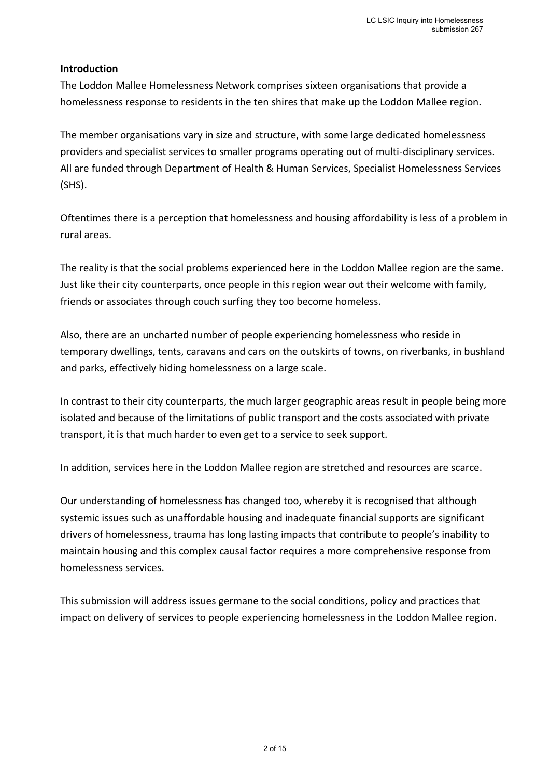## **Introduction**

The Loddon Mallee Homelessness Network comprises sixteen organisations that provide a homelessness response to residents in the ten shires that make up the Loddon Mallee region.

The member organisations vary in size and structure, with some large dedicated homelessness providers and specialist services to smaller programs operating out of multi-disciplinary services. All are funded through Department of Health & Human Services, Specialist Homelessness Services (SHS).

Oftentimes there is a perception that homelessness and housing affordability is less of a problem in rural areas.

The reality is that the social problems experienced here in the Loddon Mallee region are the same. Just like their city counterparts, once people in this region wear out their welcome with family, friends or associates through couch surfing they too become homeless.

Also, there are an uncharted number of people experiencing homelessness who reside in temporary dwellings, tents, caravans and cars on the outskirts of towns, on riverbanks, in bushland and parks, effectively hiding homelessness on a large scale.

In contrast to their city counterparts, the much larger geographic areas result in people being more isolated and because of the limitations of public transport and the costs associated with private transport, it is that much harder to even get to a service to seek support.

In addition, services here in the Loddon Mallee region are stretched and resources are scarce.

Our understanding of homelessness has changed too, whereby it is recognised that although systemic issues such as unaffordable housing and inadequate financial supports are significant drivers of homelessness, trauma has long lasting impacts that contribute to people's inability to maintain housing and this complex causal factor requires a more comprehensive response from homelessness services.

This submission will address issues germane to the social conditions, policy and practices that impact on delivery of services to people experiencing homelessness in the Loddon Mallee region.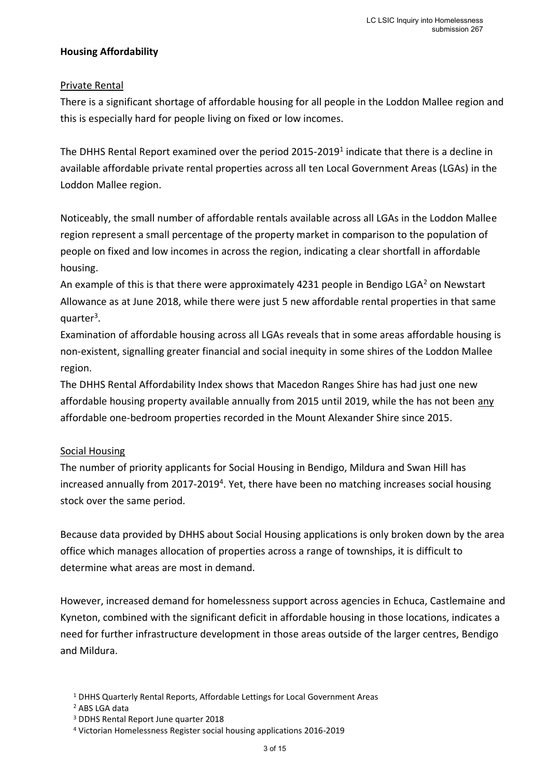# **Housing Affordability**

# Private Rental

There is a significant shortage of affordable housing for all people in the Loddon Mallee region and this is especially hard for people living on fixed or low incomes.

The DHHS Rental Report examined over the period 2015-2019<sup>1</sup> indicate that there is a decline in available affordable private rental properties across all ten Local Government Areas (LGAs) in the Loddon Mallee region.

Noticeably, the small number of affordable rentals available across all LGAs in the Loddon Mallee region represent a small percentage of the property market in comparison to the population of people on fixed and low incomes in across the region, indicating a clear shortfall in affordable housing.

An example of this is that there were approximately 4231 people in Bendigo LGA<sup>2</sup> on Newstart Allowance as at June 2018, while there were just 5 new affordable rental properties in that same quarter<sup>3</sup>.

Examination of affordable housing across all LGAs reveals that in some areas affordable housing is non-existent, signalling greater financial and social inequity in some shires of the Loddon Mallee region.

The DHHS Rental Affordability Index shows that Macedon Ranges Shire has had just one new affordable housing property available annually from 2015 until 2019, while the has not been any affordable one-bedroom properties recorded in the Mount Alexander Shire since 2015.

# Social Housing

The number of priority applicants for Social Housing in Bendigo, Mildura and Swan Hill has increased annually from 2017-2019<sup>4</sup>. Yet, there have been no matching increases social housing stock over the same period.

Because data provided by DHHS about Social Housing applications is only broken down by the area office which manages allocation of properties across a range of townships, it is difficult to determine what areas are most in demand.

However, increased demand for homelessness support across agencies in Echuca, Castlemaine and Kyneton, combined with the significant deficit in affordable housing in those locations, indicates a need for further infrastructure development in those areas outside of the larger centres, Bendigo and Mildura.

<sup>1</sup> DHHS Quarterly Rental Reports, Affordable Lettings for Local Government Areas

<sup>2</sup> ABS LGA data

<sup>3</sup> DDHS Rental Report June quarter 2018

<sup>4</sup> Victorian Homelessness Register social housing applications 2016-2019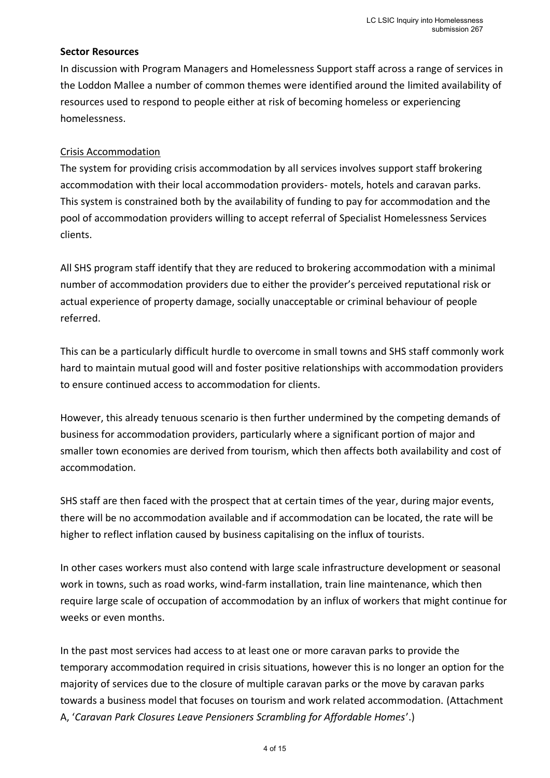#### **Sector Resources**

In discussion with Program Managers and Homelessness Support staff across a range of services in the Loddon Mallee a number of common themes were identified around the limited availability of resources used to respond to people either at risk of becoming homeless or experiencing homelessness.

# Crisis Accommodation

The system for providing crisis accommodation by all services involves support staff brokering accommodation with their local accommodation providers- motels, hotels and caravan parks. This system is constrained both by the availability of funding to pay for accommodation and the pool of accommodation providers willing to accept referral of Specialist Homelessness Services clients.

All SHS program staff identify that they are reduced to brokering accommodation with a minimal number of accommodation providers due to either the provider's perceived reputational risk or actual experience of property damage, socially unacceptable or criminal behaviour of people referred.

This can be a particularly difficult hurdle to overcome in small towns and SHS staff commonly work hard to maintain mutual good will and foster positive relationships with accommodation providers to ensure continued access to accommodation for clients.

However, this already tenuous scenario is then further undermined by the competing demands of business for accommodation providers, particularly where a significant portion of major and smaller town economies are derived from tourism, which then affects both availability and cost of accommodation.

SHS staff are then faced with the prospect that at certain times of the year, during major events, there will be no accommodation available and if accommodation can be located, the rate will be higher to reflect inflation caused by business capitalising on the influx of tourists.

In other cases workers must also contend with large scale infrastructure development or seasonal work in towns, such as road works, wind-farm installation, train line maintenance, which then require large scale of occupation of accommodation by an influx of workers that might continue for weeks or even months.

In the past most services had access to at least one or more caravan parks to provide the temporary accommodation required in crisis situations, however this is no longer an option for the majority of services due to the closure of multiple caravan parks or the move by caravan parks towards a business model that focuses on tourism and work related accommodation. (Attachment A, '*Caravan Park Closures Leave Pensioners Scrambling for Affordable Homes*'.)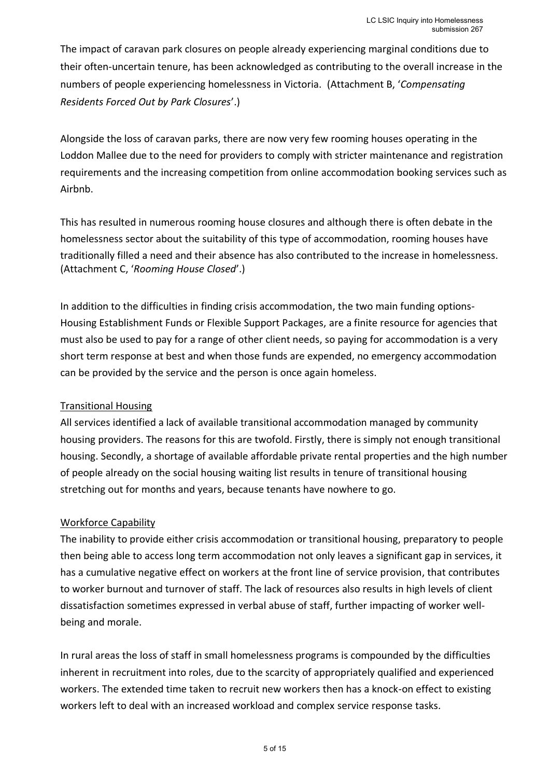The impact of caravan park closures on people already experiencing marginal conditions due to their often-uncertain tenure, has been acknowledged as contributing to the overall increase in the numbers of people experiencing homelessness in Victoria. (Attachment B, '*Compensating Residents Forced Out by Park Closures*'.)

Alongside the loss of caravan parks, there are now very few rooming houses operating in the Loddon Mallee due to the need for providers to comply with stricter maintenance and registration requirements and the increasing competition from online accommodation booking services such as Airhnh.

This has resulted in numerous rooming house closures and although there is often debate in the homelessness sector about the suitability of this type of accommodation, rooming houses have traditionally filled a need and their absence has also contributed to the increase in homelessness. (Attachment C, '*Rooming House Closed*'.)

In addition to the difficulties in finding crisis accommodation, the two main funding options-Housing Establishment Funds or Flexible Support Packages, are a finite resource for agencies that must also be used to pay for a range of other client needs, so paying for accommodation is a very short term response at best and when those funds are expended, no emergency accommodation can be provided by the service and the person is once again homeless.

# Transitional Housing

All services identified a lack of available transitional accommodation managed by community housing providers. The reasons for this are twofold. Firstly, there is simply not enough transitional housing. Secondly, a shortage of available affordable private rental properties and the high number of people already on the social housing waiting list results in tenure of transitional housing stretching out for months and years, because tenants have nowhere to go.

# Workforce Capability

The inability to provide either crisis accommodation or transitional housing, preparatory to people then being able to access long term accommodation not only leaves a significant gap in services, it has a cumulative negative effect on workers at the front line of service provision, that contributes to worker burnout and turnover of staff. The lack of resources also results in high levels of client dissatisfaction sometimes expressed in verbal abuse of staff, further impacting of worker wellbeing and morale.

In rural areas the loss of staff in small homelessness programs is compounded by the difficulties inherent in recruitment into roles, due to the scarcity of appropriately qualified and experienced workers. The extended time taken to recruit new workers then has a knock-on effect to existing workers left to deal with an increased workload and complex service response tasks.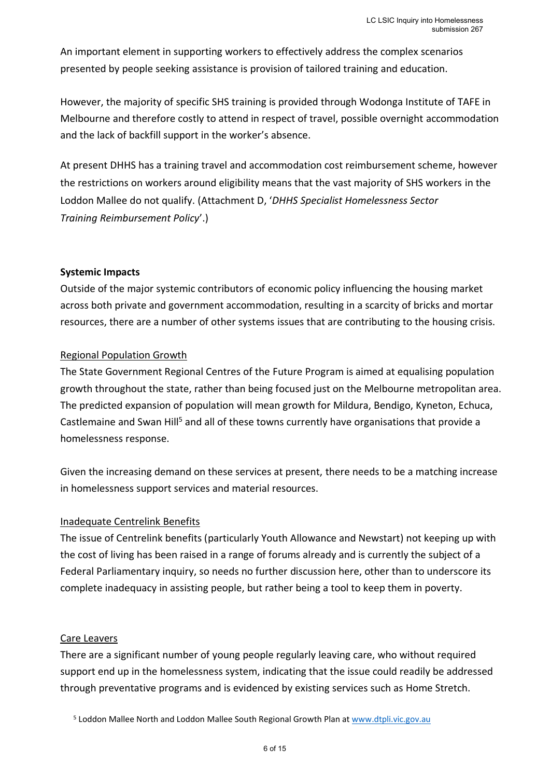An important element in supporting workers to effectively address the complex scenarios presented by people seeking assistance is provision of tailored training and education.

However, the majority of specific SHS training is provided through Wodonga Institute of TAFE in Melbourne and therefore costly to attend in respect of travel, possible overnight accommodation and the lack of backfill support in the worker's absence.

At present DHHS has a training travel and accommodation cost reimbursement scheme, however the restrictions on workers around eligibility means that the vast majority of SHS workers in the Loddon Mallee do not qualify. (Attachment D, '*DHHS Specialist Homelessness Sector Training Reimbursement Policy*'.)

### **Systemic Impacts**

Outside of the major systemic contributors of economic policy influencing the housing market across both private and government accommodation, resulting in a scarcity of bricks and mortar resources, there are a number of other systems issues that are contributing to the housing crisis.

### Regional Population Growth

The State Government Regional Centres of the Future Program is aimed at equalising population growth throughout the state, rather than being focused just on the Melbourne metropolitan area. The predicted expansion of population will mean growth for Mildura, Bendigo, Kyneton, Echuca, Castlemaine and Swan Hill<sup>5</sup> and all of these towns currently have organisations that provide a homelessness response.

Given the increasing demand on these services at present, there needs to be a matching increase in homelessness support services and material resources.

#### Inadequate Centrelink Benefits

The issue of Centrelink benefits (particularly Youth Allowance and Newstart) not keeping up with the cost of living has been raised in a range of forums already and is currently the subject of a Federal Parliamentary inquiry, so needs no further discussion here, other than to underscore its complete inadequacy in assisting people, but rather being a tool to keep them in poverty.

#### Care Leavers

There are a significant number of young people regularly leaving care, who without required support end up in the homelessness system, indicating that the issue could readily be addressed through preventative programs and is evidenced by existing services such as Home Stretch.

<sup>&</sup>lt;sup>5</sup> Loddon Mallee North and Loddon Mallee South Regional Growth Plan at [www.dtpli.vic.gov.au](http://www.dtpli.vic.gov.au/)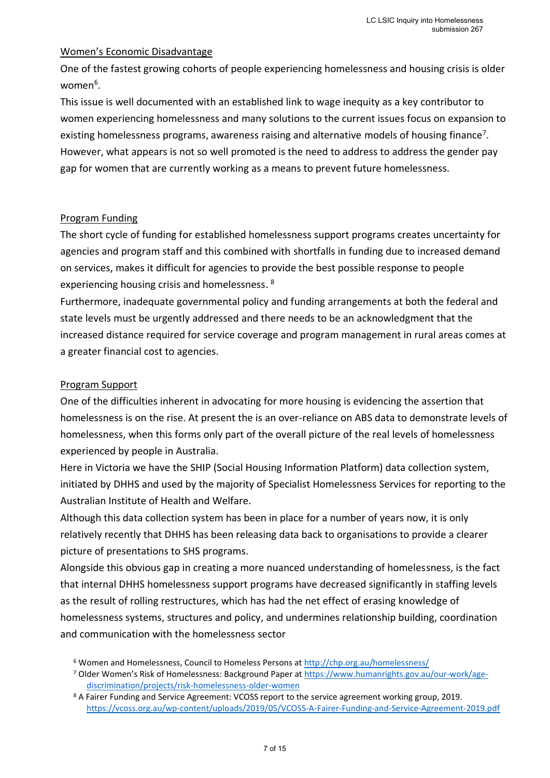### Women's Economic Disadvantage

One of the fastest growing cohorts of people experiencing homelessness and housing crisis is older women<sup>6</sup>.

This issue is well documented with an established link to wage inequity as a key contributor to women experiencing homelessness and many solutions to the current issues focus on expansion to existing homelessness programs, awareness raising and alternative models of housing finance<sup>7</sup>. However, what appears is not so well promoted is the need to address to address the gender pay gap for women that are currently working as a means to prevent future homelessness.

### Program Funding

The short cycle of funding for established homelessness support programs creates uncertainty for agencies and program staff and this combined with shortfalls in funding due to increased demand on services, makes it difficult for agencies to provide the best possible response to people experiencing housing crisis and homelessness. <sup>8</sup>

Furthermore, inadequate governmental policy and funding arrangements at both the federal and state levels must be urgently addressed and there needs to be an acknowledgment that the increased distance required for service coverage and program management in rural areas comes at a greater financial cost to agencies.

# Program Support

One of the difficulties inherent in advocating for more housing is evidencing the assertion that homelessness is on the rise. At present the is an over-reliance on ABS data to demonstrate levels of homelessness, when this forms only part of the overall picture of the real levels of homelessness experienced by people in Australia.

Here in Victoria we have the SHIP (Social Housing Information Platform) data collection system, initiated by DHHS and used by the majority of Specialist Homelessness Services for reporting to the Australian Institute of Health and Welfare.

Although this data collection system has been in place for a number of years now, it is only relatively recently that DHHS has been releasing data back to organisations to provide a clearer picture of presentations to SHS programs.

Alongside this obvious gap in creating a more nuanced understanding of homelessness, is the fact that internal DHHS homelessness support programs have decreased significantly in staffing levels as the result of rolling restructures, which has had the net effect of erasing knowledge of homelessness systems, structures and policy, and undermines relationship building, coordination and communication with the homelessness sector

<sup>6</sup> Women and Homelessness, Council to Homeless Persons a[t http://chp.org.au/homelessness/](http://chp.org.au/homelessness/)

<sup>7</sup> Older Women's Risk of Homelessness: Background Paper at [https://www.humanrights.gov.au/our-work/age](https://www.humanrights.gov.au/our-work/age-discrimination/projects/risk-homelessness-older-women)[discrimination/projects/risk-homelessness-older-women](https://www.humanrights.gov.au/our-work/age-discrimination/projects/risk-homelessness-older-women)

<sup>&</sup>lt;sup>8</sup> A Fairer Funding and Service Agreement: VCOSS report to the service agreement working group, 2019. <https://vcoss.org.au/wp-content/uploads/2019/05/VCOSS-A-Fairer-Funding-and-Service-Agreement-2019.pdf>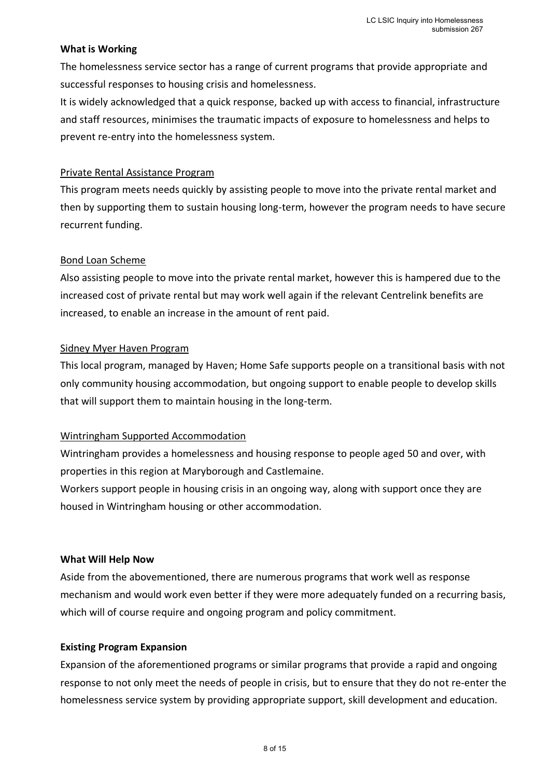#### **What is Working**

The homelessness service sector has a range of current programs that provide appropriate and successful responses to housing crisis and homelessness.

It is widely acknowledged that a quick response, backed up with access to financial, infrastructure and staff resources, minimises the traumatic impacts of exposure to homelessness and helps to prevent re-entry into the homelessness system.

### Private Rental Assistance Program

This program meets needs quickly by assisting people to move into the private rental market and then by supporting them to sustain housing long-term, however the program needs to have secure recurrent funding.

### Bond Loan Scheme

Also assisting people to move into the private rental market, however this is hampered due to the increased cost of private rental but may work well again if the relevant Centrelink benefits are increased, to enable an increase in the amount of rent paid.

### Sidney Myer Haven Program

This local program, managed by Haven; Home Safe supports people on a transitional basis with not only community housing accommodation, but ongoing support to enable people to develop skills that will support them to maintain housing in the long-term.

# Wintringham Supported Accommodation

Wintringham provides a homelessness and housing response to people aged 50 and over, with properties in this region at Maryborough and Castlemaine.

Workers support people in housing crisis in an ongoing way, along with support once they are housed in Wintringham housing or other accommodation.

#### **What Will Help Now**

Aside from the abovementioned, there are numerous programs that work well as response mechanism and would work even better if they were more adequately funded on a recurring basis, which will of course require and ongoing program and policy commitment.

#### **Existing Program Expansion**

Expansion of the aforementioned programs or similar programs that provide a rapid and ongoing response to not only meet the needs of people in crisis, but to ensure that they do not re-enter the homelessness service system by providing appropriate support, skill development and education.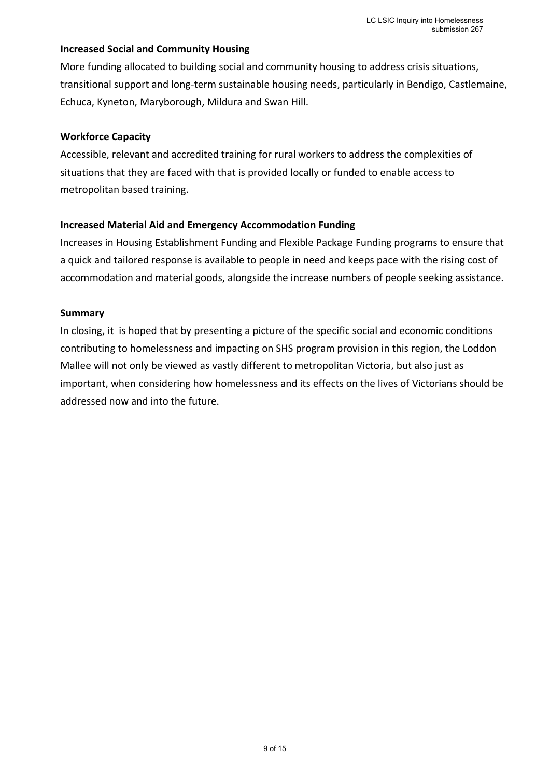### **Increased Social and Community Housing**

More funding allocated to building social and community housing to address crisis situations, transitional support and long-term sustainable housing needs, particularly in Bendigo, Castlemaine, Echuca, Kyneton, Maryborough, Mildura and Swan Hill.

#### **Workforce Capacity**

Accessible, relevant and accredited training for rural workers to address the complexities of situations that they are faced with that is provided locally or funded to enable access to metropolitan based training.

### **Increased Material Aid and Emergency Accommodation Funding**

Increases in Housing Establishment Funding and Flexible Package Funding programs to ensure that a quick and tailored response is available to people in need and keeps pace with the rising cost of accommodation and material goods, alongside the increase numbers of people seeking assistance.

#### **Summary**

In closing, it is hoped that by presenting a picture of the specific social and economic conditions contributing to homelessness and impacting on SHS program provision in this region, the Loddon Mallee will not only be viewed as vastly different to metropolitan Victoria, but also just as important, when considering how homelessness and its effects on the lives of Victorians should be addressed now and into the future.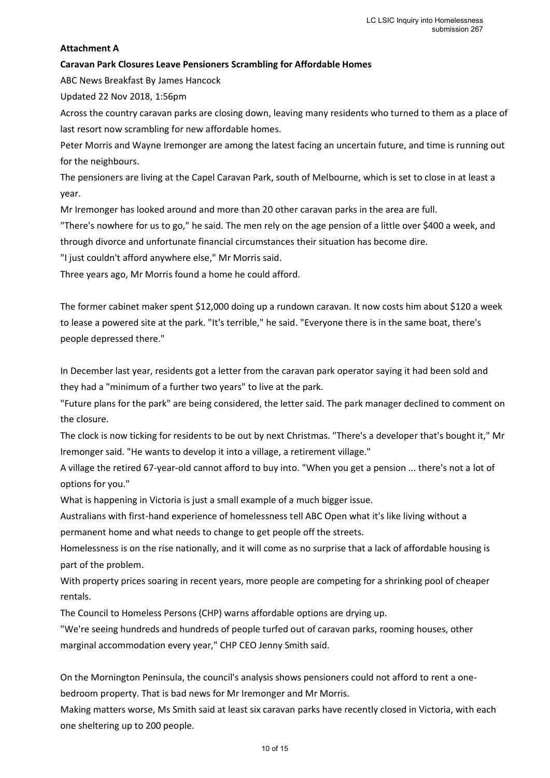#### **Attachment A**

#### **Caravan Park Closures Leave Pensioners Scrambling for Affordable Homes**

ABC News Breakfast By James Hancock

Updated 22 Nov 2018, 1:56pm

Across the country caravan parks are closing down, leaving many residents who turned to them as a place of last resort now scrambling for new affordable homes.

Peter Morris and Wayne Iremonger are among the latest facing an uncertain future, and time is running out for the neighbours.

The pensioners are living at the Capel Caravan Park, south of Melbourne, which is set to close in at least a year.

Mr Iremonger has looked around and more than 20 other caravan parks in the area are full.

"There's nowhere for us to go," he said. The men rely on the age pension of a little over \$400 a week, and through divorce and unfortunate financial circumstances their situation has become dire.

"I just couldn't afford anywhere else," Mr Morris said.

Three years ago, Mr Morris found a home he could afford.

The former cabinet maker spent \$12,000 doing up a rundown caravan. It now costs him about \$120 a week to lease a powered site at the park. "It's terrible," he said. "Everyone there is in the same boat, there's people depressed there."

In December last year, residents got a letter from the caravan park operator saying it had been sold and they had a "minimum of a further two years" to live at the park.

"Future plans for the park" are being considered, the letter said. The park manager declined to comment on the closure.

The clock is now ticking for residents to be out by next Christmas. "There's a developer that's bought it," Mr Iremonger said. "He wants to develop it into a village, a retirement village."

A village the retired 67-year-old cannot afford to buy into. "When you get a pension ... there's not a lot of options for you."

What is happening in Victoria is just a small example of a much bigger issue.

Australians with first-hand experience of homelessness tell ABC Open what it's like living without a permanent home and what needs to change to get people off the streets.

Homelessness is on the rise nationally, and it will come as no surprise that a lack of affordable housing is part of the problem.

With property prices soaring in recent years, more people are competing for a shrinking pool of cheaper rentals.

The Council to Homeless Persons (CHP) warns affordable options are drying up.

"We're seeing hundreds and hundreds of people turfed out of caravan parks, rooming houses, other marginal accommodation every year," CHP CEO Jenny Smith said.

On the Mornington Peninsula, the council's analysis shows pensioners could not afford to rent a onebedroom property. That is bad news for Mr Iremonger and Mr Morris.

Making matters worse, Ms Smith said at least six caravan parks have recently closed in Victoria, with each one sheltering up to 200 people.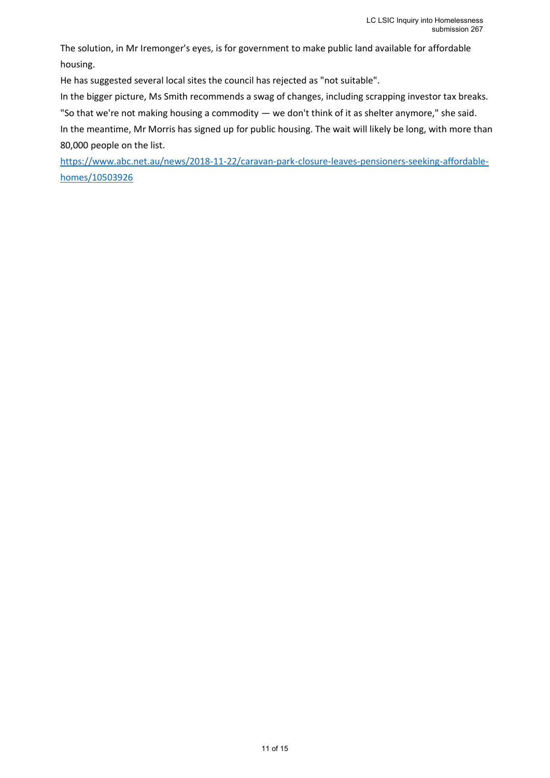The solution, in Mr Iremonger's eyes, is for government to make public land available for affordable housing.

He has suggested several local sites the council has rejected as "not suitable".

In the bigger picture, Ms Smith recommends a swag of changes, including scrapping investor tax breaks.

"So that we're not making housing a commodity — we don't think of it as shelter anymore," she said.

In the meantime, Mr Morris has signed up for public housing. The wait will likely be long, with more than 80,000 people on the list.

[https://www.abc.net.au/news/2018-11-22/caravan-park-closure-leaves-pensioners-seeking-affordable](https://www.abc.net.au/news/2018-11-22/caravan-park-closure-leaves-pensioners-seeking-affordable-homes/10503926)[homes/10503926](https://www.abc.net.au/news/2018-11-22/caravan-park-closure-leaves-pensioners-seeking-affordable-homes/10503926)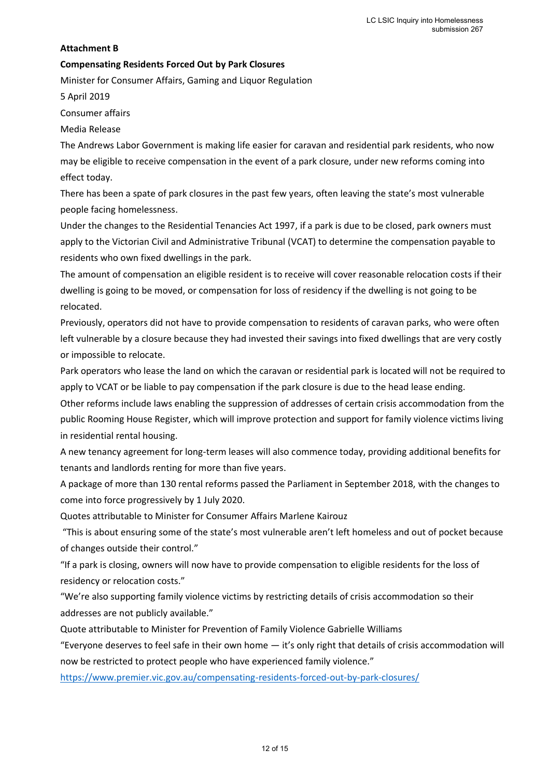#### **Attachment B**

#### **Compensating Residents Forced Out by Park Closures**

Minister for Consumer Affairs, Gaming and Liquor Regulation

5 April 2019

Consumer affairs

Media Release

The Andrews Labor Government is making life easier for caravan and residential park residents, who now may be eligible to receive compensation in the event of a park closure, under new reforms coming into effect today.

There has been a spate of park closures in the past few years, often leaving the state's most vulnerable people facing homelessness.

Under the changes to the Residential Tenancies Act 1997, if a park is due to be closed, park owners must apply to the Victorian Civil and Administrative Tribunal (VCAT) to determine the compensation payable to residents who own fixed dwellings in the park.

The amount of compensation an eligible resident is to receive will cover reasonable relocation costs if their dwelling is going to be moved, or compensation for loss of residency if the dwelling is not going to be relocated.

Previously, operators did not have to provide compensation to residents of caravan parks, who were often left vulnerable by a closure because they had invested their savings into fixed dwellings that are very costly or impossible to relocate.

Park operators who lease the land on which the caravan or residential park is located will not be required to apply to VCAT or be liable to pay compensation if the park closure is due to the head lease ending.

Other reforms include laws enabling the suppression of addresses of certain crisis accommodation from the public Rooming House Register, which will improve protection and support for family violence victims living in residential rental housing.

A new tenancy agreement for long-term leases will also commence today, providing additional benefits for tenants and landlords renting for more than five years.

A package of more than 130 rental reforms passed the Parliament in September 2018, with the changes to come into force progressively by 1 July 2020.

Quotes attributable to Minister for Consumer Affairs Marlene Kairouz

"This is about ensuring some of the state's most vulnerable aren't left homeless and out of pocket because of changes outside their control."

"If a park is closing, owners will now have to provide compensation to eligible residents for the loss of residency or relocation costs."

"We're also supporting family violence victims by restricting details of crisis accommodation so their addresses are not publicly available."

Quote attributable to Minister for Prevention of Family Violence Gabrielle Williams

"Everyone deserves to feel safe in their own home — it's only right that details of crisis accommodation will now be restricted to protect people who have experienced family violence."

<https://www.premier.vic.gov.au/compensating-residents-forced-out-by-park-closures/>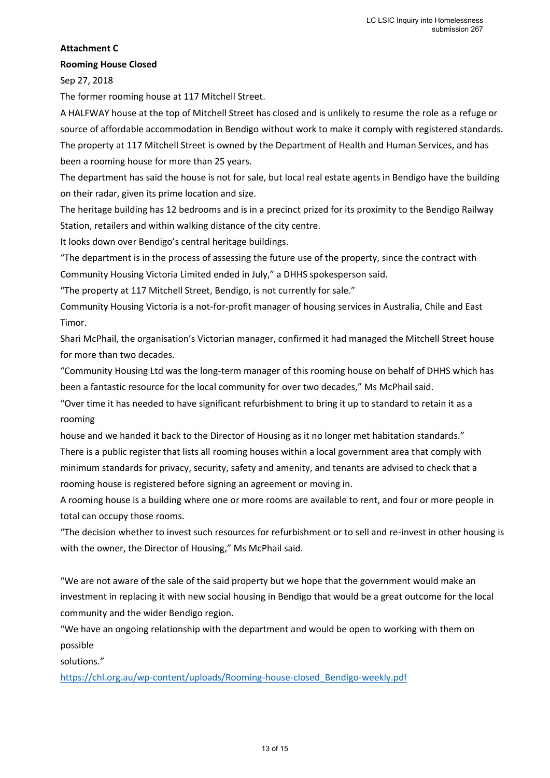#### **Attachment C**

#### **Rooming House Closed**

Sep 27, 2018

The former rooming house at 117 Mitchell Street.

A HALFWAY house at the top of Mitchell Street has closed and is unlikely to resume the role as a refuge or source of affordable accommodation in Bendigo without work to make it comply with registered standards. The property at 117 Mitchell Street is owned by the Department of Health and Human Services, and has been a rooming house for more than 25 years.

The department has said the house is not for sale, but local real estate agents in Bendigo have the building on their radar, given its prime location and size.

The heritage building has 12 bedrooms and is in a precinct prized for its proximity to the Bendigo Railway Station, retailers and within walking distance of the city centre.

It looks down over Bendigo's central heritage buildings.

"The department is in the process of assessing the future use of the property, since the contract with Community Housing Victoria Limited ended in July," a DHHS spokesperson said.

"The property at 117 Mitchell Street, Bendigo, is not currently for sale."

Community Housing Victoria is a not-for-profit manager of housing services in Australia, Chile and East Timor.

Shari McPhail, the organisation's Victorian manager, confirmed it had managed the Mitchell Street house for more than two decades.

"Community Housing Ltd was the long-term manager of this rooming house on behalf of DHHS which has been a fantastic resource for the local community for over two decades," Ms McPhail said.

"Over time it has needed to have significant refurbishment to bring it up to standard to retain it as a rooming

house and we handed it back to the Director of Housing as it no longer met habitation standards." There is a public register that lists all rooming houses within a local government area that comply with minimum standards for privacy, security, safety and amenity, and tenants are advised to check that a rooming house is registered before signing an agreement or moving in.

A rooming house is a building where one or more rooms are available to rent, and four or more people in total can occupy those rooms.

"The decision whether to invest such resources for refurbishment or to sell and re-invest in other housing is with the owner, the Director of Housing," Ms McPhail said.

"We are not aware of the sale of the said property but we hope that the government would make an investment in replacing it with new social housing in Bendigo that would be a great outcome for the local community and the wider Bendigo region.

"We have an ongoing relationship with the department and would be open to working with them on possible

solutions."

[https://chl.org.au/wp-content/uploads/Rooming-house-closed\\_Bendigo-weekly.pdf](https://chl.org.au/wp-content/uploads/Rooming-house-closed_Bendigo-weekly.pdf)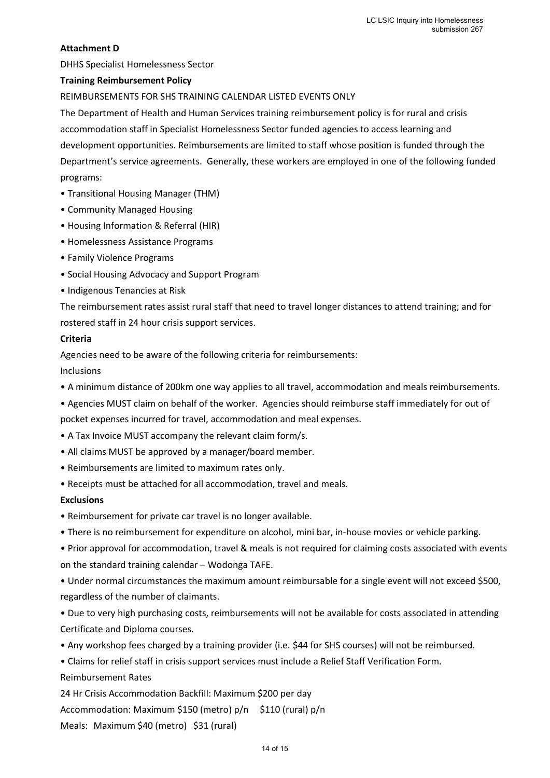#### **Attachment D**

DHHS Specialist Homelessness Sector

#### **Training Reimbursement Policy**

REIMBURSEMENTS FOR SHS TRAINING CALENDAR LISTED EVENTS ONLY

The Department of Health and Human Services training reimbursement policy is for rural and crisis accommodation staff in Specialist Homelessness Sector funded agencies to access learning and development opportunities. Reimbursements are limited to staff whose position is funded through the Department's service agreements. Generally, these workers are employed in one of the following funded programs:

- Transitional Housing Manager (THM)
- Community Managed Housing
- Housing Information & Referral (HIR)
- Homelessness Assistance Programs
- Family Violence Programs
- Social Housing Advocacy and Support Program
- Indigenous Tenancies at Risk

The reimbursement rates assist rural staff that need to travel longer distances to attend training; and for rostered staff in 24 hour crisis support services.

#### **Criteria**

Agencies need to be aware of the following criteria for reimbursements: Inclusions

- A minimum distance of 200km one way applies to all travel, accommodation and meals reimbursements.
- Agencies MUST claim on behalf of the worker. Agencies should reimburse staff immediately for out of
- pocket expenses incurred for travel, accommodation and meal expenses.
- A Tax Invoice MUST accompany the relevant claim form/s.
- All claims MUST be approved by a manager/board member.
- Reimbursements are limited to maximum rates only.
- Receipts must be attached for all accommodation, travel and meals.

#### **Exclusions**

- Reimbursement for private car travel is no longer available.
- There is no reimbursement for expenditure on alcohol, mini bar, in-house movies or vehicle parking.

• Prior approval for accommodation, travel & meals is not required for claiming costs associated with events on the standard training calendar – Wodonga TAFE.

• Under normal circumstances the maximum amount reimbursable for a single event will not exceed \$500, regardless of the number of claimants.

• Due to very high purchasing costs, reimbursements will not be available for costs associated in attending Certificate and Diploma courses.

• Any workshop fees charged by a training provider (i.e. \$44 for SHS courses) will not be reimbursed.

• Claims for relief staff in crisis support services must include a Relief Staff Verification Form.

Reimbursement Rates

24 Hr Crisis Accommodation Backfill: Maximum \$200 per day

Accommodation: Maximum \$150 (metro) p/n \$110 (rural) p/n

Meals: Maximum \$40 (metro) \$31 (rural)